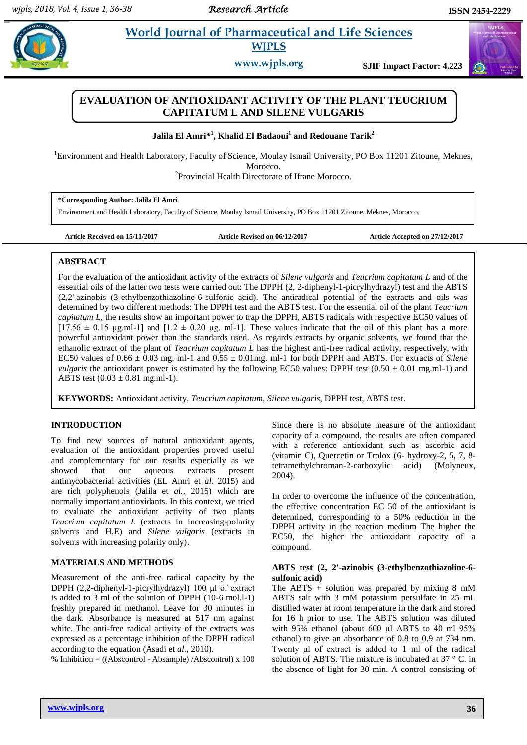# **EL Americal** *ELECTA* **<b>ELECTA ELECTA ELECTA ELECTA ELECTA ELECTA ELECTA ELECTA ELECTA ELECTA ELECTA ELECTA ELECTA ELECTA ELECTA ELECTA ELECTA ELECTA ELECTA ELECTA ELECTA ELECTA E WJPLS**

**www.wjpls.org SJIF Impact Factor: 4.223**

# **EVALUATION OF ANTIOXIDANT ACTIVITY OF THE PLANT TEUCRIUM CAPITATUM L AND SILENE VULGARIS**

**Jalila El Amri\* 1 , Khalid El Badaoui<sup>1</sup> and Redouane Tarik<sup>2</sup>**

<sup>1</sup>Environment and Health Laboratory, Faculty of Science, Moulay Ismail University, PO Box 11201 Zitoune, Meknes, Morocco.

<sup>2</sup>Provincial Health Directorate of Ifrane Morocco.

| *Corresponding Author: Jalila El Amri                                                                                   |
|-------------------------------------------------------------------------------------------------------------------------|
| Environment and Health Laboratory, Faculty of Science, Moulay Ismail University, PO Box 11201 Zitoune, Meknes, Morocco. |

**Article Received on 15/11/2017 Article Revised on 06/12/2017 Article Accepted on 27/12/2017**

# **ABSTRACT**

For the evaluation of the antioxidant activity of the extracts of *Silene vulgaris* and *Teucrium capitatum L* and of the essential oils of the latter two tests were carried out: The DPPH (2, 2-diphenyl-1-picrylhydrazyl) test and the ABTS (2,2'-azinobis (3-ethylbenzothiazoline-6-sulfonic acid). The antiradical potential of the extracts and oils was determined by two different methods: The DPPH test and the ABTS test. For the essential oil of the plant *Teucrium capitatum L*, the results show an important power to trap the DPPH, ABTS radicals with respective EC50 values of  $[17.56 \pm 0.15 \text{ µg.m}]-1]$  and  $[1.2 \pm 0.20 \text{ µg.m}]-1]$ . These values indicate that the oil of this plant has a more powerful antioxidant power than the standards used. As regards extracts by organic solvents, we found that the ethanolic extract of the plant of *Teucrium capitatum L* has the highest anti-free radical activity, respectively, with EC50 values of  $0.66 \pm 0.03$  mg. ml-1 and  $0.55 \pm 0.01$  mg. ml-1 for both DPPH and ABTS. For extracts of *Silene vulgaris* the antioxidant power is estimated by the following EC50 values: DPPH test  $(0.50 \pm 0.01 \text{ mg.ml-1})$  and ABTS test  $(0.03 \pm 0.81 \text{ mg.ml-1}).$ 

**KEYWORDS:** Antioxidant activity, *Teucrium capitatum*, *Silene vulgaris*, DPPH test, ABTS test.

# **INTRODUCTION**

To find new sources of natural antioxidant agents, evaluation of the antioxidant properties proved useful and complementary for our results especially as we showed that our aqueous extracts present antimycobacterial activities (EL Amri et *al*. 2015) and are rich polyphenols (Jalila et *al.,* 2015) which are normally important antioxidants. In this context, we tried to evaluate the antioxidant activity of two plants *Teucrium capitatum L* (extracts in increasing-polarity solvents and H.E) and *Silene vulgaris* (extracts in solvents with increasing polarity only).

#### **MATERIALS AND METHODS**

Measurement of the anti-free radical capacity by the DPPH (2,2-diphenyl-1-picrylhydrazyl) 100 μl of extract is added to 3 ml of the solution of DPPH (10-6 mol.l-1) freshly prepared in methanol. Leave for 30 minutes in the dark. Absorbance is measured at 517 nm against white. The anti-free radical activity of the extracts was expressed as a percentage inhibition of the DPPH radical according to the equation (Asadi et *al.,* 2010).

% Inhibition = ((Abscontrol - Absample) /Abscontrol) x 100

Since there is no absolute measure of the antioxidant capacity of a compound, the results are often compared with a reference antioxidant such as ascorbic acid (vitamin C), Quercetin or Trolox (6- hydroxy-2, 5, 7, 8 tetramethylchroman-2-carboxylic acid) (Molyneux, 2004).

In order to overcome the influence of the concentration, the effective concentration EC 50 of the antioxidant is determined, corresponding to a 50% reduction in the DPPH activity in the reaction medium The higher the EC50, the higher the antioxidant capacity of a compound.

#### **ABTS test (2, 2'-azinobis (3-ethylbenzothiazoline-6 sulfonic acid)**

The ABTS  $+$  solution was prepared by mixing 8 mM ABTS salt with 3 mM potassium persulfate in 25 mL distilled water at room temperature in the dark and stored for 16 h prior to use. The ABTS solution was diluted with 95% ethanol (about 600 μl ABTS to 40 ml 95% ethanol) to give an absorbance of 0.8 to 0.9 at 734 nm. Twenty ul of extract is added to 1 ml of the radical solution of ABTS. The mixture is incubated at 37 ° C. in the absence of light for 30 min. A control consisting of

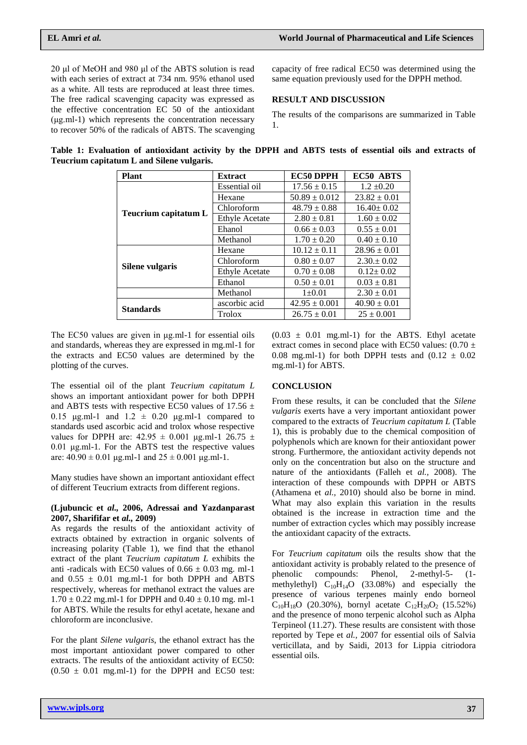20 μl of MeOH and 980 μl of the ABTS solution is read with each series of extract at 734 nm. 95% ethanol used as a white. All tests are reproduced at least three times. The free radical scavenging capacity was expressed as the effective concentration EC 50 of the antioxidant (μg.ml-1) which represents the concentration necessary to recover 50% of the radicals of ABTS. The scavenging

capacity of free radical EC50 was determined using the same equation previously used for the DPPH method.

#### **RESULT AND DISCUSSION**

The results of the comparisons are summarized in Table 1.

**Table 1: Evaluation of antioxidant activity by the DPPH and ABTS tests of essential oils and extracts of Teucrium capitatum L and Silene vulgaris.**

| <b>Plant</b>         | <b>Extract</b>        | EC50 DPPH         | EC50 ABTS        |
|----------------------|-----------------------|-------------------|------------------|
| Teucrium capitatum L | Essential oil         | $17.56 \pm 0.15$  | $1.2 \pm 0.20$   |
|                      | Hexane                | $50.89 \pm 0.012$ | $23.82 \pm 0.01$ |
|                      | Chloroform            | $48.79 \pm 0.88$  | $16.40 \pm 0.02$ |
|                      | <b>Ethyle Acetate</b> | $2.80 \pm 0.81$   | $1.60 \pm 0.02$  |
|                      | Ehanol                | $0.66 \pm 0.03$   | $0.55 \pm 0.01$  |
|                      | Methanol              | $1.70 \pm 0.20$   | $0.40 \pm 0.10$  |
| Silene vulgaris      | Hexane                | $10.12 \pm 0.11$  | $28.96 \pm 0.01$ |
|                      | Chloroform            | $0.80 \pm 0.07$   | $2.30 \pm 0.02$  |
|                      | <b>Ethyle Acetate</b> | $0.70 \pm 0.08$   | $0.12 \pm 0.02$  |
|                      | Ethanol               | $0.50 \pm 0.01$   | $0.03 \pm 0.81$  |
|                      | Methanol              | $1 \pm 0.01$      | $2.30 \pm 0.01$  |
| <b>Standards</b>     | ascorbic acid         | $42.95 \pm 0.001$ | $40.90 \pm 0.01$ |
|                      | Trolox                | $26.75 \pm 0.01$  | $25 \pm 0.001$   |

The EC50 values are given in μg.ml-1 for essential oils and standards, whereas they are expressed in mg.ml-1 for the extracts and EC50 values are determined by the plotting of the curves.

The essential oil of the plant *Teucrium capitatum L* shows an important antioxidant power for both DPPH and ABTS tests with respective EC50 values of 17.56  $\pm$ 0.15  $\mu$ g.ml-1 and 1.2  $\pm$  0.20  $\mu$ g.ml-1 compared to standards used ascorbic acid and trolox whose respective values for DPPH are:  $42.95 \pm 0.001$  μg.ml-1 26.75  $\pm$ 0.01 μg.ml-1. For the ABTS test the respective values are:  $40.90 \pm 0.01$  μg.ml-1 and  $25 \pm 0.001$  μg.ml-1.

Many studies have shown an important antioxidant effect of different Teucrium extracts from different regions.

#### **(Ljubuncic et** *al.,* **2006, Adressai and Yazdanparast 2007, Sharififar et** *al.,* **2009)**

As regards the results of the antioxidant activity of extracts obtained by extraction in organic solvents of increasing polarity (Table 1), we find that the ethanol extract of the plant *Teucrium capitatum L* exhibits the anti -radicals with EC50 values of  $0.66 \pm 0.03$  mg. ml-1 and  $0.55 \pm 0.01$  mg.ml-1 for both DPPH and ABTS respectively, whereas for methanol extract the values are  $1.70 \pm 0.22$  mg.ml-1 for DPPH and  $0.40 \pm 0.10$  mg. ml-1 for ABTS. While the results for ethyl acetate, hexane and chloroform are inconclusive.

For the plant *Silene vulgaris*, the ethanol extract has the most important antioxidant power compared to other extracts. The results of the antioxidant activity of EC50:  $(0.50 \pm 0.01 \text{ mg.ml-1})$  for the DPPH and EC50 test:

 $(0.03 \pm 0.01 \text{ mg.ml-1})$  for the ABTS. Ethyl acetate extract comes in second place with EC50 values:  $(0.70 \pm 1)$ 0.08 mg.ml-1) for both DPPH tests and  $(0.12 \pm 0.02)$ mg.ml-1) for ABTS.

# **CONCLUSION**

From these results, it can be concluded that the *Silene vulgaris* exerts have a very important antioxidant power compared to the extracts of *Teucrium capitatum L* (Table 1), this is probably due to the chemical composition of polyphenols which are known for their antioxidant power strong. Furthermore, the antioxidant activity depends not only on the concentration but also on the structure and nature of the antioxidants (Falleh et *al.,* 2008). The interaction of these compounds with DPPH or ABTS (Athamena et *al.,* 2010) should also be borne in mind. What may also explain this variation in the results obtained is the increase in extraction time and the number of extraction cycles which may possibly increase the antioxidant capacity of the extracts.

For *Teucrium capitatum* oils the results show that the antioxidant activity is probably related to the presence of phenolic compounds: Phenol, 2-methyl-5- (1 methylethyl)  $C_{10}H_{14}O$  (33.08%) and especially the presence of various terpenes mainly endo borneol  $C_{10}H_{18}O$  (20.30%), bornyl acetate  $C_{12}H_{20}O_2$  (15.52%) and the presence of mono terpenic alcohol such as Alpha Terpineol (11.27). These results are consistent with those reported by Tepe et *al.,* 2007 for essential oils of Salvia verticillata, and by Saidi, 2013 for Lippia citriodora essential oils.